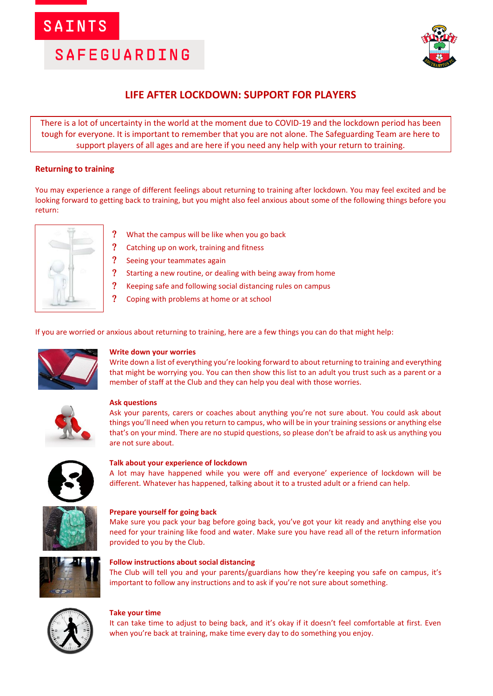## **SAINTS**

# **SAFEGUARDING**



### **LIFE AFTER LOCKDOWN: SUPPORT FOR PLAYERS**

There is a lot of uncertainty in the world at the moment due to COVID-19 and the lockdown period has been tough for everyone. It is important to remember that you are not alone. The Safeguarding Team are here to support players of all ages and are here if you need any help with your return to training.

### **Returning to training**

You may experience a range of different feelings about returning to training after lockdown. You may feel excited and be looking forward to getting back to training, but you might also feel anxious about some of the following things before you return:



- What the campus will be like when you go back
- ? Catching up on work, training and fitness
- ? Seeing your teammates again
- Starting a new routine, or dealing with being away from home
- ? Keeping safe and following social distancing rules on campus
- Coping with problems at home or at school

If you are worried or anxious about returning to training, here are a few things you can do that might help:



#### **Write down your worries**

Write down a list of everything you're looking forward to about returning to training and everything that might be worrying you. You can then show this list to an adult you trust such as a parent or a member of staff at the Club and they can help you deal with those worries.



#### **Ask questions**

Ask your parents, carers or coaches about anything you're not sure about. You could ask about things you'll need when you return to campus, who will be in your training sessions or anything else that's on your mind. There are no stupid questions, so please don't be afraid to ask us anything you are not sure about.



#### **Talk about your experience of lockdown**

A lot may have happened while you were off and everyone' experience of lockdown will be different. Whatever has happened, talking about it to a trusted adult or a friend can help.



#### **Prepare yourself for going back**

Make sure you pack your bag before going back, you've got your kit ready and anything else you need for your training like food and water. Make sure you have read all of the return information provided to you by the Club.



#### **Follow instructions about social distancing**

The Club will tell you and your parents/guardians how they're keeping you safe on campus, it's important to follow any instructions and to ask if you're not sure about something.



#### **Take your time**

It can take time to adjust to being back, and it's okay if it doesn't feel comfortable at first. Even when you're back at training, make time every day to do something you enjoy.